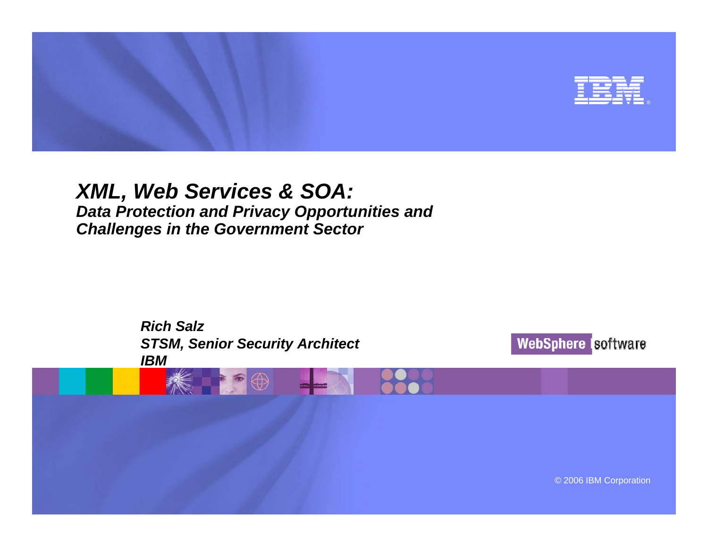

#### *XML, Web Services & SOA: Data Protection and Privacy Opportunities and Challenges in the Government Sector*

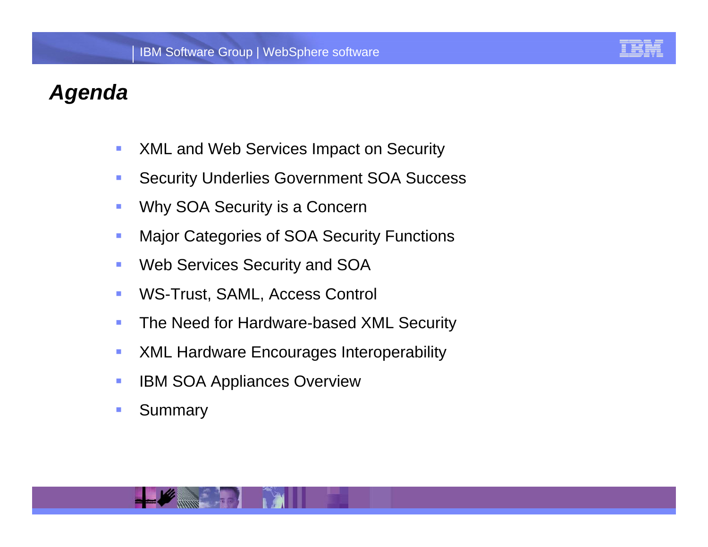

#### *Agenda*

- $\mathcal{C}$ XML and Web Services Impact on Security
- $\mathcal{L}_{\mathcal{A}}$ Security Underlies Government SOA Success
- $\mathcal{L}_{\mathcal{A}}$ Why SOA Security is a Concern
- $\mathcal{C}$ Major Categories of SOA Security Functions
- IBM Web Services Security and SOA  $\mathcal{L}_{\mathcal{A}}$
- $\mathcal{L}_{\mathcal{A}}$ WS-Trust, SAML, Access Control
- $\mathcal{C}$ The Need for Hardware-based XML Security
- $\mathcal{L}_{\mathcal{A}}$ XML Hardware Encourages Interoperability
- $\mathcal{L}_{\mathcal{A}}$ IBM SOA Appliances Overview
- $\mathcal{C}$ **Summary**

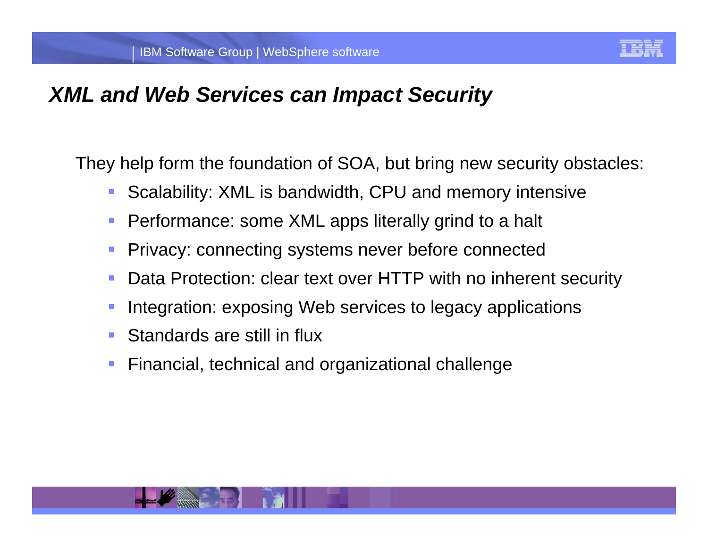

#### *XML and Web Services can Impact Security*

They help form the foundation of SOA, but bring new security obstacles:

- $\overline{\phantom{a}}$ Scalability: XML is bandwidth, CPU and memory intensive
- $\overline{\phantom{a}}$ Performance: some XML apps literally grind to a halt
- $\mathbb{R}^2$ Privacy: connecting systems never before connected
- Data Protection: clear text over HTTP with no inherent security  $\mathbb{R}^2$
- Integration: exposing Web services to legacy applications
- **Service Service** Standards are still in flux
- $\mathbb{R}^2$ Financial, technical and organizational challenge

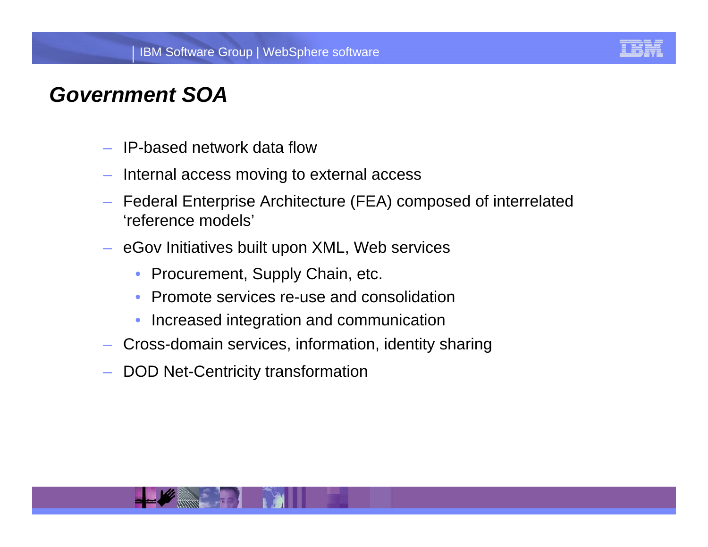

### *Government SOA*

- IP-based network data flow
- Internal access moving to external access
- Federal Enterprise Architecture (FEA) composed of interrelated 'reference models'
- eGov Initiatives built upon XML, Web services
	- Procurement, Supply Chain, etc.  $\bullet$
	- $\bullet$ Promote services re-use and consolidation
	- $\bullet$ Increased integration and communication
- Cross-domain services, information, identity sharing
- DOD Net-Centricity transformation

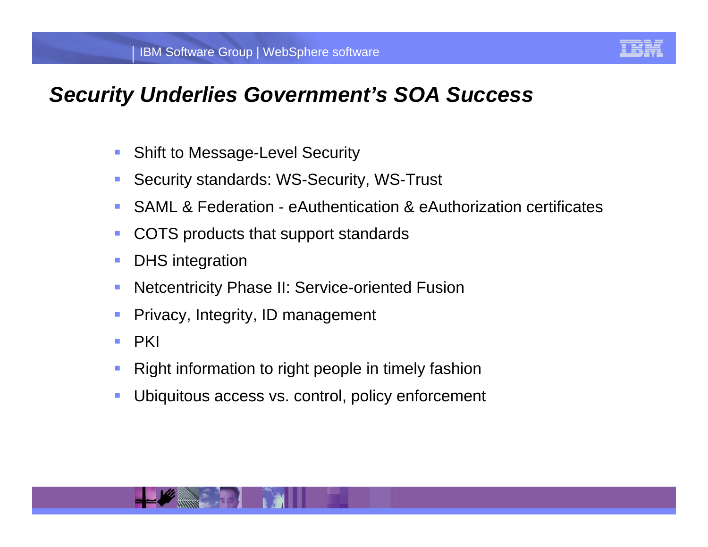

#### *Security Underlies Government's SOA Success*

- $\mathcal{L}_{\mathcal{A}}$ Shift to Message-Level Security
- $\mathcal{L}_{\mathcal{A}}$ Security standards: WS-Security, WS-Trust
- $\mathcal{L}_{\mathcal{A}}$ SAML & Federation - eAuthentication & eAuthorization certificates
- a. COTS products that support standards
- $\mathcal{C}$ DHS integration
- IB Integration<br>Iteentricity Phase II: Service eriented Eucien **Netcentricity Phase II: Service-oriented Fusion**
- Privacy, Integrity, ID management
- a. **PKI**
- П Right information to right people in timely fashion
- $\mathcal{L}_{\mathcal{A}}$ Ubiquitous access vs. control, policy enforcement

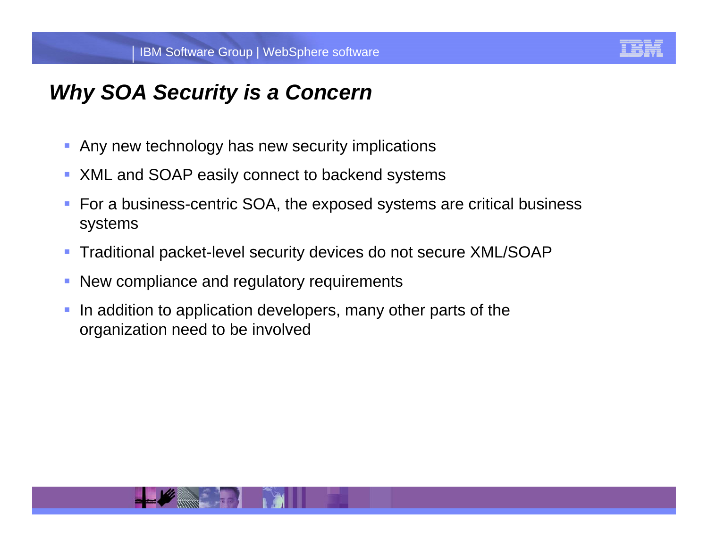

### *Why SOA Security is a Concern*

- **Any new technology has new security implications**
- **XML and SOAP easily connect to backend systems**
- For a business-centric SOA, the exposed systems are critical business systems
- Traditional packet-level security devices do not secure XML/SOAP
- **New compliance and regulatory requirements**
- $\mathcal{L}_{\mathcal{A}}$  In addition to application developers, many other parts of the organization need to be involved

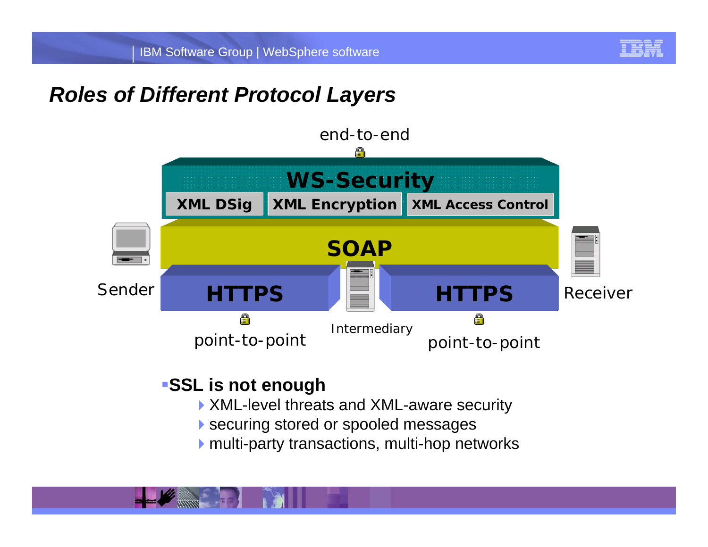

### *Roles of Different Protocol Layers*



#### **SSL is not enough**

- ▶ XML-level threats and XML-aware security
- securing stored or spooled messages
- multi-party transactions, multi-hop networks

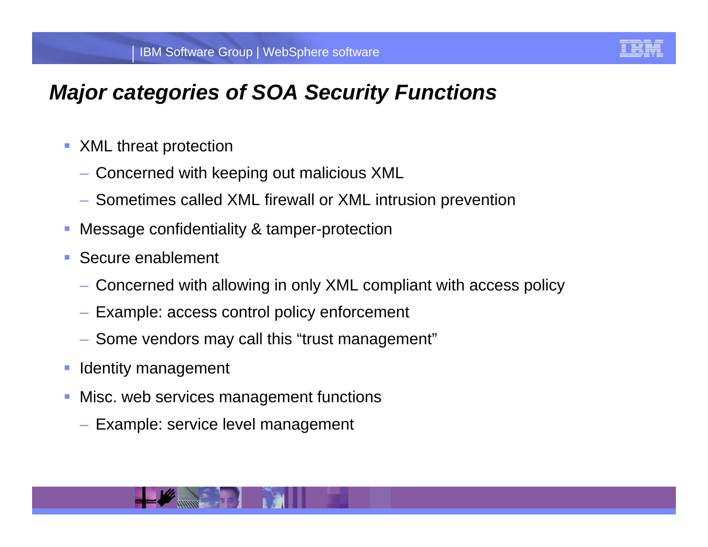

# *Major categories of SOA Security Functions*

- **XML** threat protection
	- Concerned with keeping out malicious XML
	- Sometimes called XML firewall or XML intrusion prevention
- П Message confidentiality & tamper-protection
- **Secure enablement** 
	- Concerned with allowing in only XML compliant with access policy
	- Example: access control policy enforcement
	- Some vendors may call this "trust management"
- Identity management
- Misc. web services management functions
	- Example: service level management

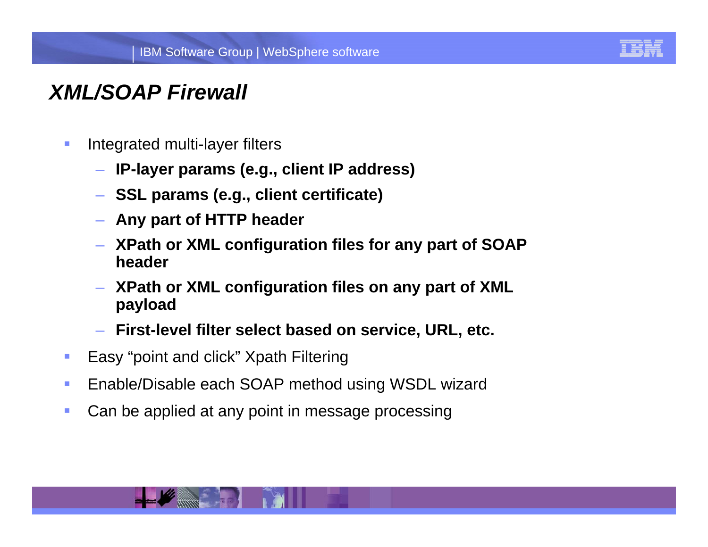

### *XML/SOAP Firewall*

- $\mathcal{L}_{\mathcal{A}}$  Integrated multi-layer filters
	- **IP-layer params (e.g., client IP address)**
	- **SSL params (e.g., client certificate)**
	- **Any part of HTTP header**
	- **XPath or XML configuration files for any part of SOAP header**
	- IBM Software Group | Lotus software **XPath or XML configuration files on any part of XML payload**
	- **First-level filter select based on service, URL, etc.**
- $\mathcal{L}_{\rm{eff}}$ Easy "point and click" Xpath Filtering
- $\mathcal{L}_{\rm{eff}}$ Enable/Disable each SOAP method using WSDL wizard
- $\mathcal{L}_{\mathcal{A}}$ Can be applied at any point in message processing

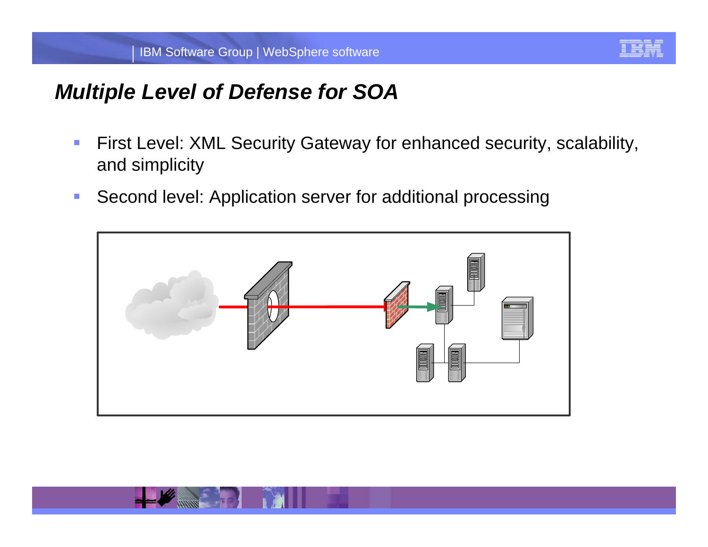

#### *Multiple Level of Defense for SOA*

- $\mathcal{L}_{\mathcal{A}}$  First Level: XML Security Gateway for enhanced security, scalability, and simplicity
- $\mathcal{L}_{\mathcal{A}}$ Second level: Application server for additional processing



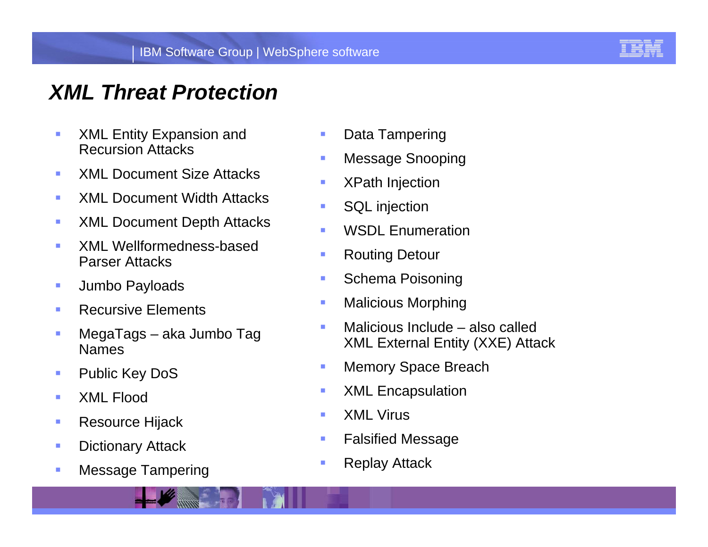

#### *XML Threat Protection*

- $\mathcal{C}$  XML Entity Expansion and Recursion Attacks
- П XML Document Size Attacks
- $\mathcal{L}_{\mathrm{eff}}$ XML Document Width Attacks
- $\mathcal{L}_{\mathcal{A}}$ XML Document Depth Attacks
- П XML Wellformedness-based Parser Attacks
- $\mathcal{L}_{\mathcal{A}}$ Jumbo Payloads
- $\mathcal{L}_{\mathcal{A}}$ Recursive Elements
- r. MegaTags – aka Jumbo Tag Names
- L Public Key DoS
- $\mathcal{L}_{\mathcal{A}}$ XML Flood
- $\mathcal{A}$ Resource Hijack
- $\mathcal{A}$ Dictionary Attack
- $\mathcal{L}_{\mathcal{A}}$ Message Tampering
- $\mathcal{L}_{\mathcal{A}}$ Data Tampering
- $\mathcal{L}_{\mathcal{A}}$ Message Snooping
- XPath Injection
- $\blacksquare$ SQL injection
- $\blacksquare$ WSDL Enumeration
- $\mathcal{L}_{\mathcal{A}}$ Routing Detour
- IBM Software Group | Lotus software Schema Poisoning  $\mathcal{L}_{\mathcal{A}}$ 
	- $\mathcal{L}_{\mathcal{A}}$ Malicious Morphing
	- $\blacksquare$  Malicious Include – also called XML External Entity (XXE) Attack
	- $\mathcal{L}_{\mathcal{A}}$ Memory Space Breach
	- $\mathcal{L}_{\mathcal{A}}$ XML Encapsulation
	- $\mathcal{L}_{\mathcal{A}}$ XML Virus
	- $\mathcal{L}_{\mathcal{A}}$ Falsified Message
	- $\overline{\phantom{a}}$ Replay Attack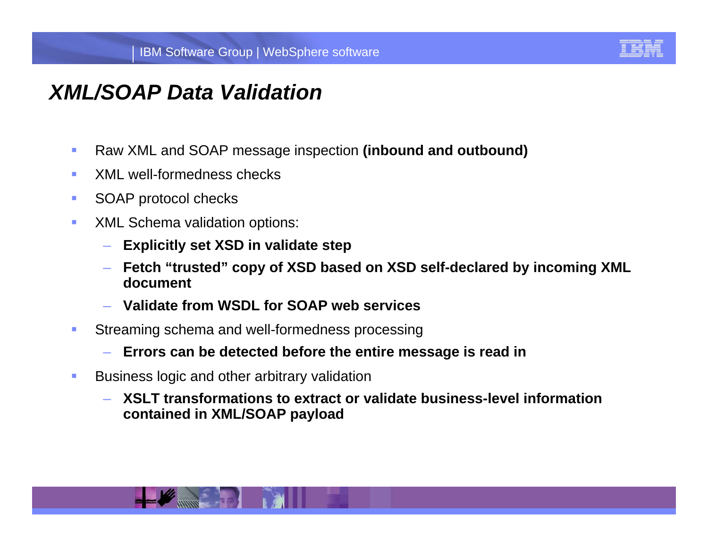

#### *XML/SOAP Data Validation*

- $\mathcal{C}$ Raw XML and SOAP message inspection **(inbound and outbound)**
- $\mathcal{L}_{\mathcal{A}}$ XML well-formedness checks
- $\mathcal{L}_{\mathcal{A}}$ SOAP protocol checks
- $\mathcal{A}$  XML Schema validation options:
	- **Explicitly set XSD in validate step**
	- Fetch "trusted" copy of XSD based on XSD self-declared by incoming XML<br>document **document**
	- **Validate from WSDL for SOAP web services**
- $\overline{\phantom{a}}$  Streaming schema and well-formedness processing
	- **Errors can be detected before the entire message is read in**
- $\mathcal{L}_{\mathcal{A}}$  Business logic and other arbitrary validation
	- **XSLT transformations to extract or validate business-level information contained in XML/SOAP payload**

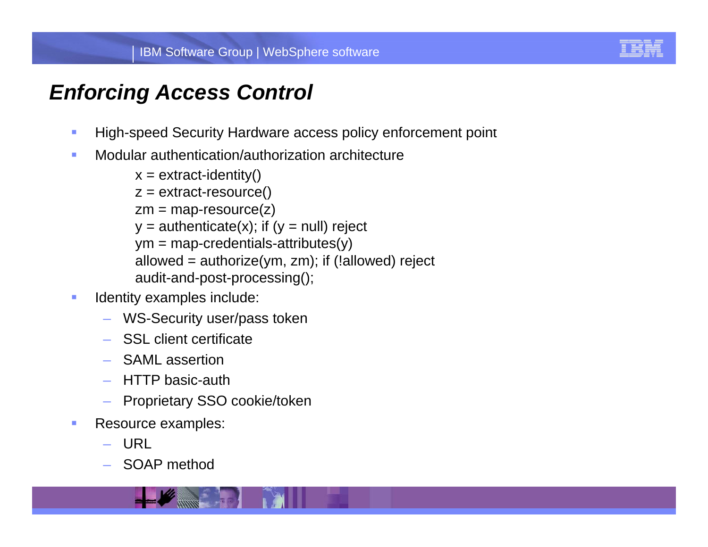

# *Enforcing Access Control*

- $\mathcal{L}_{\mathcal{A}}$ High-speed Security Hardware access policy enforcement point
- $\mathcal{L}_{\mathcal{A}}$ Modular authentication/authorization architecture

```
and the dation both and it is the most control of the software software and the audit-and-post-processing();
x = extract-identity()
z = extract-resource()
zm = map-resource(z)y = authenticate(x); if (y = null) reject
ym = map-credentials-attributes(y)allowed = authorize(ym, zm); if (!allowed) reject
```
- $\mathcal{L}_{\mathcal{A}}$  Identity examples include:
	- WS-Security user/pass token
	- SSL client certificate
	- SAML assertion
	- HTTP basic-auth
	- Proprietary SSO cookie/token
- $\overline{\phantom{a}}$  Resource examples:
	- URL
	- SOAP method

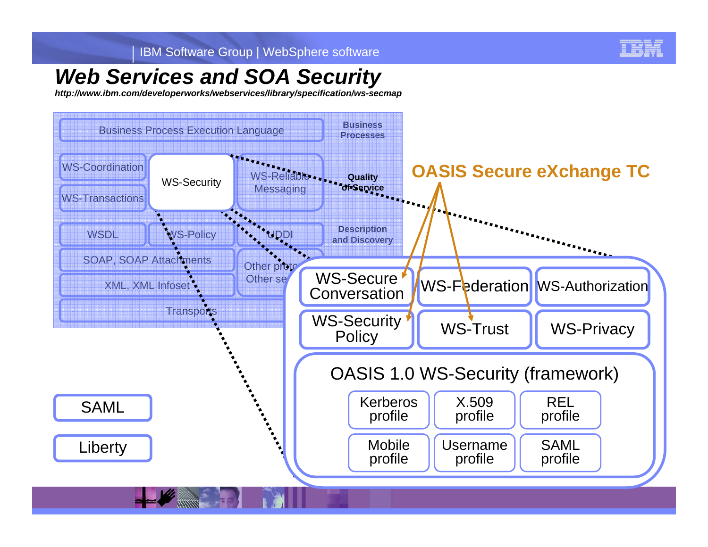

#### *Web Services and SOA Security*

*http://www.ibm.com/developerworks/webservices/library/specification/ws-secmap*

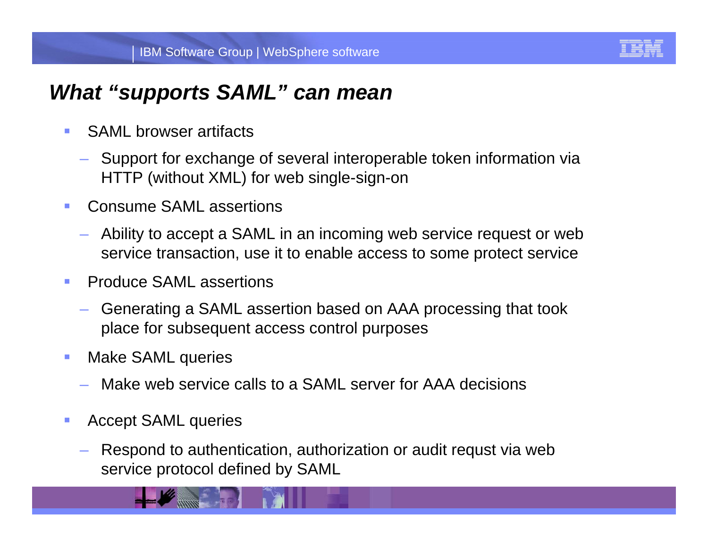

#### *What "supports SAML" can mean*

- a. SAML browser artifacts
	- Support for exchange of several interoperable token information via HTTP (without XML) for web single-sign-on
- $\mathcal{L}_{\mathcal{A}}$  Consume SAML assertions
	- Ability to accept a SAML in an incoming web service request or web service transaction, use it to enable access to some protect service
- **Produce SAML assertions**  $\mathcal{L}_{\mathcal{A}}$ 
	- Generating a SAML assertion based on AAA processing that took place for subsequent access control purposes
- $\mathcal{L}_{\mathcal{A}}$  Make SAML queries
	- Make web service calls to a SAML server for AAA decisions
- $\mathcal{L}_{\mathcal{A}}$  Accept SAML queries
	- Respond to authentication, authorization or audit requst via web service protocol defined by SAML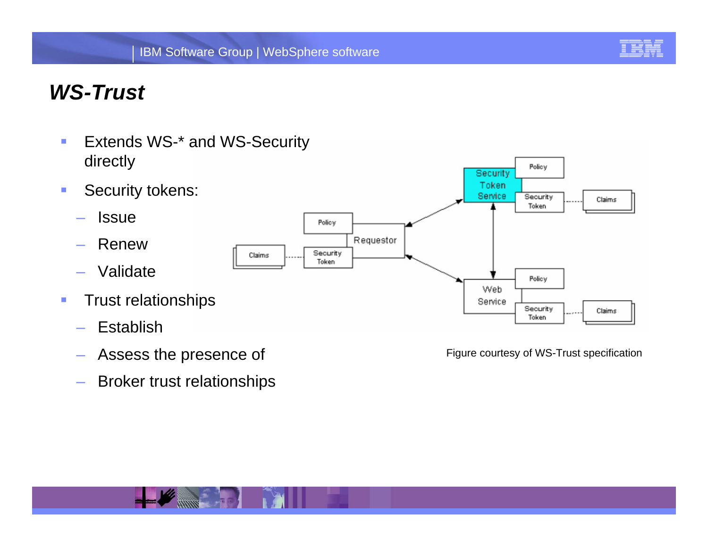

### *WS-Trust*

- $\overline{\phantom{a}}$  Extends WS-\* and WS-Security directly
- $\mathcal{L}_{\mathcal{A}}$  Security tokens:
	- –**Issue**
	- Renew
	- Validate
- $\mathcal{A}$  Trust relationships
	- –Establish
	- Assess the presence of
	- –Broker trust relationships



Figure courtesy of WS-Trust specification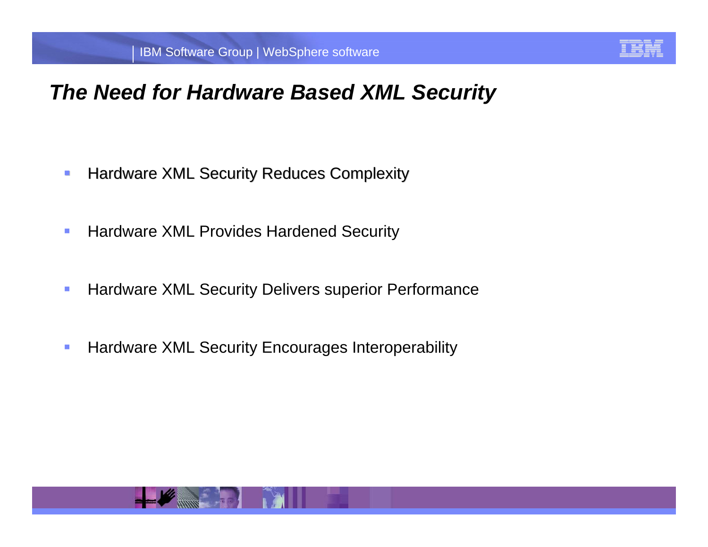

#### *The Need for Hardware Based XML Security*

- ۰ Hardware XML Security Reduces Complexity
- $\overline{\phantom{a}}$ Hardware XML Provides Hardened Security
- $\sum_{i=1}^{n}$  $\overline{\phantom{a}}$ **Hardware XML Security Delivers superior Performance**
- $\overline{\phantom{a}}$ Hardware XML Security Encourages Interoperability

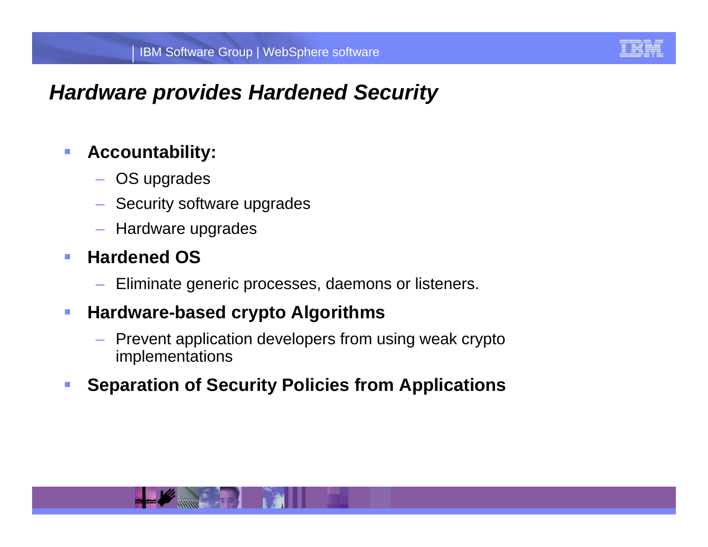

#### *Hardware provides Hardened Security*

#### $\mathcal{L}_{\mathcal{A}}$ **Accountability:**

- OS upgrades
- Security software upgrades
- Hardware upgrades

#### $\overline{\phantom{a}}$ **Hardened OS**

- Eliminate generic processes, daemons or listeners.

#### $\mathcal{L}_{\mathcal{A}}$ **Hardware-based crypto Algorithms**

- Prevent application developers from using weak crypto implementations
- **Separation of Security Policies from Applications**

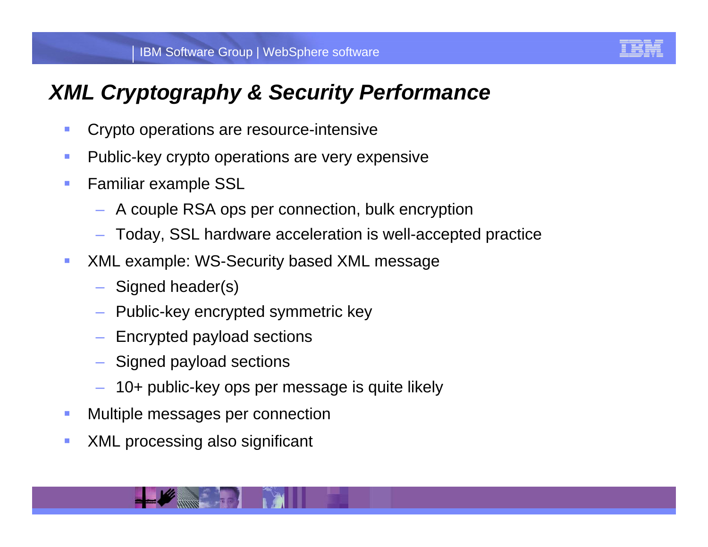

# *XML Cryptography & Security Performance*

- $\mathcal{L}_{\mathcal{A}}$ Crypto operations are resource-intensive
- $\mathcal{L}_{\mathcal{A}}$ Public-key crypto operations are very expensive
- $\mathcal{L}_{\mathcal{A}}$  Familiar example SSL
	- A couple RSA ops per connection, bulk encryption
	- Today, SSL hardware acceleration is well-accepted practice
- IPHOT INDICOURTY DUSCUP ANNE INCOOL DO CONTROL DE CONTROL DE CONTROL DE CONTROL DE CONTROL DE CONTROL DE CONTR<br>De la partie de control de control de control de control de control de control de control de control de control ×. **XML example: WS-Security based XML message** 
	- Signed header(s)
	- Public-key encrypted symmetric key
	- Encrypted payload sections
	- Signed payload sections
	- 10+ public-key ops per message is quite likely
- $\mathcal{L}_{\mathcal{A}}$ Multiple messages per connection
- $\mathcal{L}_{\mathcal{A}}$ XML processing also significant

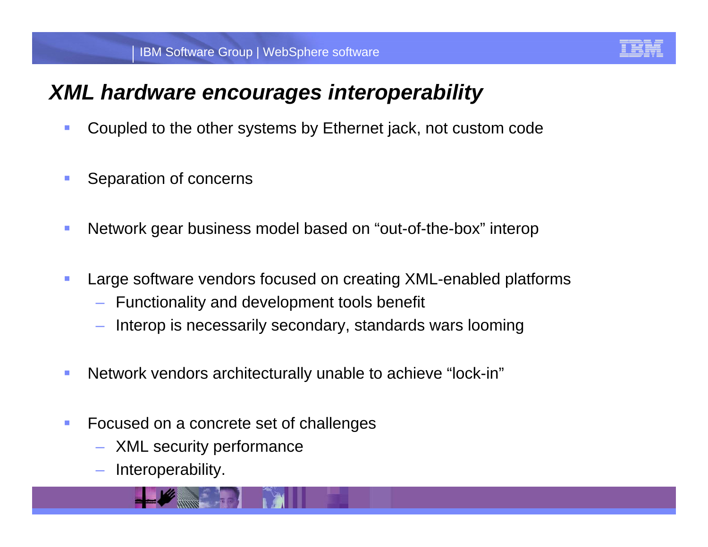

### *XML hardware encourages interoperability*

- $\mathcal{L}_{\mathcal{A}}$ Coupled to the other systems by Ethernet jack, not custom code
- $\mathcal{L}_{\mathcal{A}}$ Separation of concerns
- $\mathcal{L}_{\mathcal{A}}$ Network gear business model based on "out-of-the-box" interop
- **Large software vendors focused on creating XML-enabled platforms**  $\mathcal{L}_{\mathcal{A}}$ 
	- Functionality and development tools benefit
	- Interop is necessarily secondary, standards wars looming
- $\mathcal{L}_{\mathcal{A}}$ Network vendors architecturally unable to achieve "lock-in"
- $\mathcal{L}_{\mathcal{A}}$  Focused on a concrete set of challenges
	- XML security performance
	- Interoperability.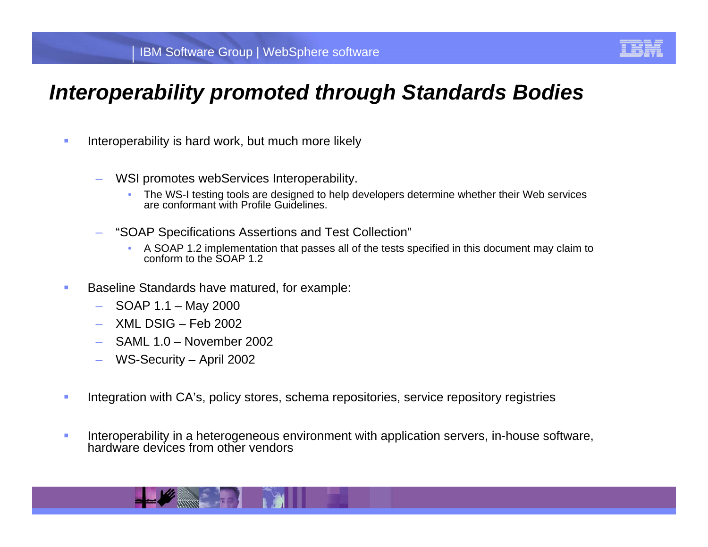

#### *Interoperability promoted through Standards Bodies*

- $\blacksquare$  Interoperability is hard work, but much more likely
	- WSI promotes webServices Interoperability.
		- • The WS-I testing tools are designed to help developers determine whether their Web services are conformant with Profile Guidelines.
	- "SOAP Specifications Assertions and Test Collection"
		- A SOAP 1.2 implementation that passes all of the tests specified in this document may claim to conform to the SOAP 1.2
- **Baseline Standards have matured, for example:**<br>**Baseline Standards have matured, for example:** π
	- SOAP 1.1 May 2000
	- XML DSIG Feb 2002
	- SAML 1.0 November 2002
	- WS-Security April 2002
- $\mathbf{r}$ Integration with CA's, policy stores, schema repositories, service repository registries
- ▉ Interoperability in a heterogeneous environment with application servers, in-house software, hardware devices from other vendors

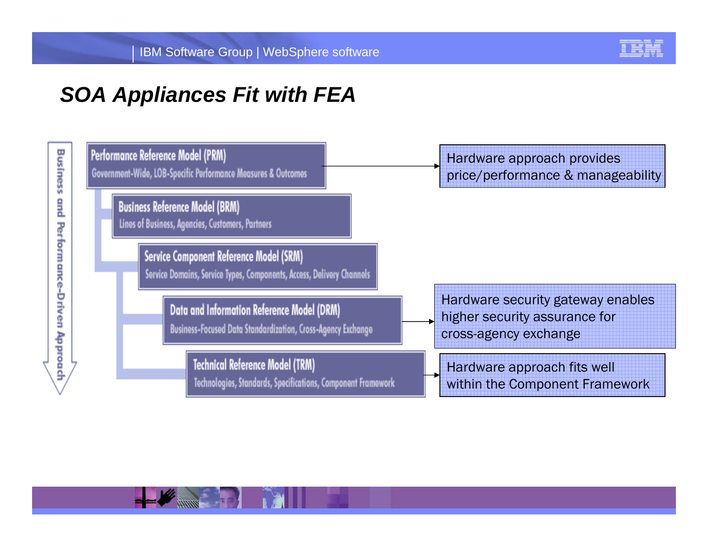

### *SOA Appliances Fit with FEA*



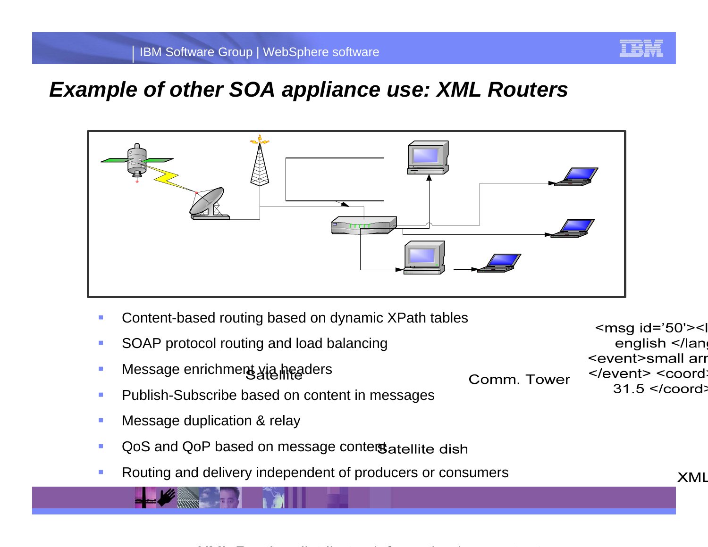

#### *Example of other SOA appliance use: XML Routers*



- T, Content-based routing based on dynamic XPath tables
- $\overline{\phantom{a}}$ SOAP protocol routing and load balancing
- $\mathcal{C}$ Message enrichment yia headers
- $\mathcal{L}_{\mathcal{A}}$ Publish-Subscribe based on content in messages
- $\mathcal{L}_{\mathcal{A}}$ Message duplication & relay
- $\mathcal{L}_{\mathcal{A}}$ QoS and QoP based on message conterstatellite dish
- $\mathcal{C}$ Routing and delivery independent of producers or consumers

 $\le$ msq id='50'><l english </lang <event>small arr </event> <coord> Comm. Tower  $31.5$  </coord>

**XML**